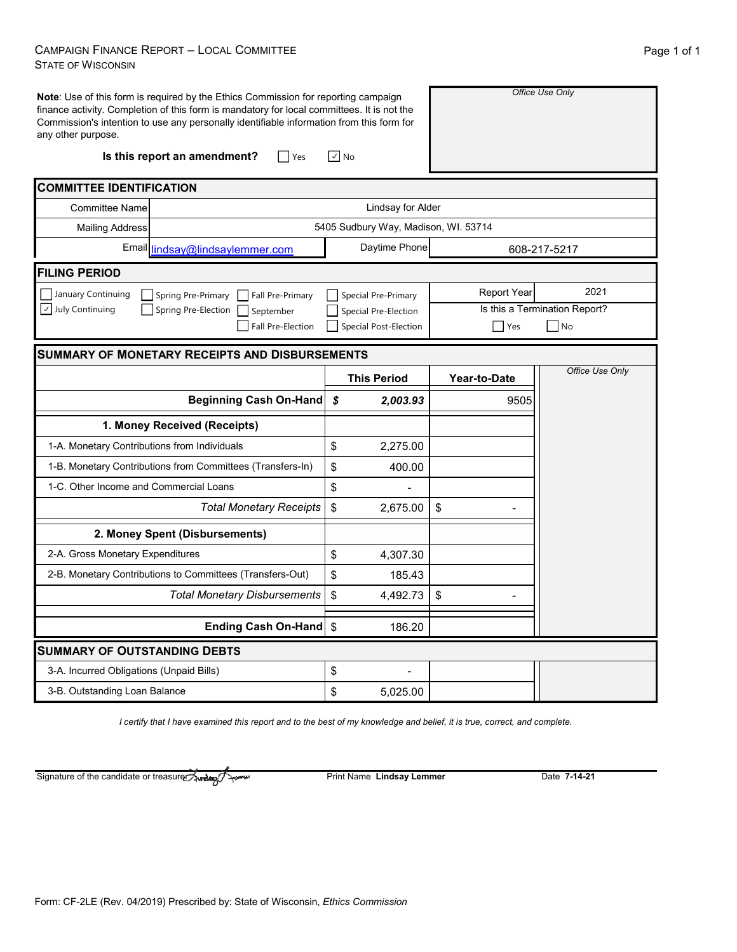### CAMPAIGN FINANCE REPORT – LOCAL COMMITTEE STATE OF WISCONSIN

| any other purpose.                           | Note: Use of this form is required by the Ethics Commission for reporting campaign<br>finance activity. Completion of this form is mandatory for local committees. It is not the<br>Commission's intention to use any personally identifiable information from this form for |                                       |                    | Office Use Only               |
|----------------------------------------------|------------------------------------------------------------------------------------------------------------------------------------------------------------------------------------------------------------------------------------------------------------------------------|---------------------------------------|--------------------|-------------------------------|
|                                              | Is this report an amendment?<br>$ $ Yes                                                                                                                                                                                                                                      | $\vee$ No                             |                    |                               |
| <b>COMMITTEE IDENTIFICATION</b>              |                                                                                                                                                                                                                                                                              |                                       |                    |                               |
| <b>Committee Name</b>                        |                                                                                                                                                                                                                                                                              | Lindsay for Alder                     |                    |                               |
| <b>Mailing Address</b>                       |                                                                                                                                                                                                                                                                              | 5405 Sudbury Way, Madison, WI. 53714  |                    |                               |
|                                              | Email lindsay@lindsaylemmer.com                                                                                                                                                                                                                                              | Daytime Phone                         |                    | 608-217-5217                  |
| <b>FILING PERIOD</b>                         |                                                                                                                                                                                                                                                                              |                                       |                    |                               |
| January Continuing                           | Spring Pre-Primary<br>Fall Pre-Primary                                                                                                                                                                                                                                       | Special Pre-Primary                   | <b>Report Year</b> | 2021                          |
| $\vee$ July Continuing                       | Spring Pre-Election<br>September                                                                                                                                                                                                                                             | Special Pre-Election                  |                    | Is this a Termination Report? |
|                                              | Fall Pre-Election                                                                                                                                                                                                                                                            | <b>Special Post-Election</b>          | <b>Yes</b>         | $\overline{\phantom{a}}$ No   |
|                                              | <b>SUMMARY OF MONETARY RECEIPTS AND DISBURSEMENTS</b>                                                                                                                                                                                                                        |                                       |                    |                               |
|                                              |                                                                                                                                                                                                                                                                              | <b>This Period</b>                    | Year-to-Date       | Office Use Only               |
|                                              | <b>Beginning Cash On-Hand</b>                                                                                                                                                                                                                                                | \$<br>2,003.93                        | 9505               |                               |
|                                              | 1. Money Received (Receipts)                                                                                                                                                                                                                                                 |                                       |                    |                               |
| 1-A. Monetary Contributions from Individuals |                                                                                                                                                                                                                                                                              |                                       |                    |                               |
|                                              |                                                                                                                                                                                                                                                                              | \$<br>2,275.00                        |                    |                               |
|                                              | 1-B. Monetary Contributions from Committees (Transfers-In)                                                                                                                                                                                                                   | \$<br>400.00                          |                    |                               |
| 1-C. Other Income and Commercial Loans       |                                                                                                                                                                                                                                                                              | \$                                    |                    |                               |
|                                              | <b>Total Monetary Receipts</b>                                                                                                                                                                                                                                               | $\boldsymbol{\mathsf{S}}$<br>2,675.00 | \$                 |                               |
|                                              | 2. Money Spent (Disbursements)                                                                                                                                                                                                                                               |                                       |                    |                               |
| 2-A. Gross Monetary Expenditures             |                                                                                                                                                                                                                                                                              | \$<br>4,307.30                        |                    |                               |
|                                              | 2-B. Monetary Contributions to Committees (Transfers-Out)                                                                                                                                                                                                                    | \$<br>185.43                          |                    |                               |
|                                              | <b>Total Monetary Disbursements</b>                                                                                                                                                                                                                                          | \$<br>4,492.73                        | \$                 |                               |
|                                              | Ending Cash On-Hand \$                                                                                                                                                                                                                                                       | 186.20                                |                    |                               |
| <b>SUMMARY OF OUTSTANDING DEBTS</b>          |                                                                                                                                                                                                                                                                              |                                       |                    |                               |
| 3-A. Incurred Obligations (Unpaid Bills)     |                                                                                                                                                                                                                                                                              | \$                                    |                    |                               |

*I certify that I have examined this report and to the best of my knowledge and belief, it is true, correct, and complete.*

Signature of the candidate or treasurer Award

Print Name Lindsay Lemmer<br>
Date 7-14-21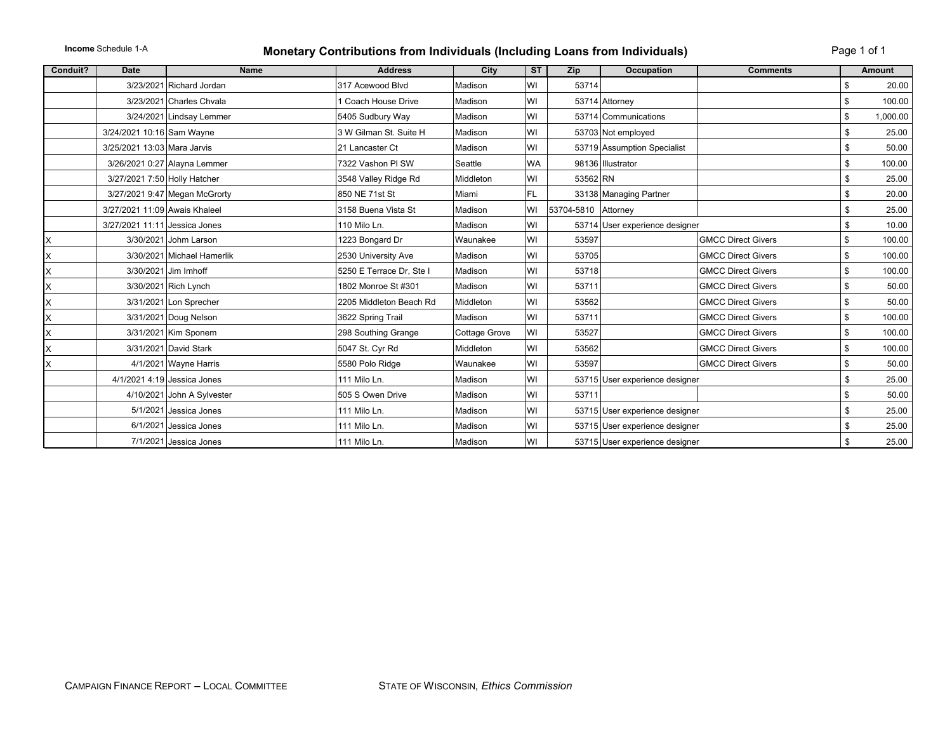### **Monetary Contributions from Individuals (Including Loans from Individuals)** Page 1 of 1

| Conduit? | <b>Date</b>                   | <b>Name</b>                   | <b>Address</b>           | City                 | ST        | Zip                 | Occupation                     | <b>Comments</b>           | Amount         |
|----------|-------------------------------|-------------------------------|--------------------------|----------------------|-----------|---------------------|--------------------------------|---------------------------|----------------|
|          |                               | 3/23/2021 Richard Jordan      | 317 Acewood Blvd         | Madison              | WI        | 53714               |                                |                           | \$<br>20.00    |
|          |                               | 3/23/2021 Charles Chyala      | 1 Coach House Drive      | Madison              | WI        |                     | 53714 Attorney                 |                           | \$<br>100.00   |
|          |                               | 3/24/2021 Lindsay Lemmer      | 5405 Sudbury Way         | Madison              | WI        |                     | 53714 Communications           |                           | \$<br>1,000.00 |
|          | 3/24/2021 10:16 Sam Wayne     |                               | 3 W Gilman St. Suite H   | Madison              | WI        |                     | 53703 Not employed             |                           | \$<br>25.00    |
|          | 3/25/2021 13:03 Mara Jarvis   |                               | 21 Lancaster Ct          | Madison              | WI        |                     | 53719 Assumption Specialist    |                           | \$<br>50.00    |
|          |                               | 3/26/2021 0:27 Alayna Lemmer  | 7322 Vashon PI SW        | Seattle              | <b>WA</b> |                     | 98136 Illustrator              |                           | \$<br>100.00   |
|          | 3/27/2021 7:50 Holly Hatcher  |                               | 3548 Valley Ridge Rd     | Middleton            | WI        | 53562 RN            |                                |                           | \$<br>25.00    |
|          |                               | 3/27/2021 9:47 Megan McGrorty | 850 NE 71st St           | Miami                | FL.       |                     | 33138 Managing Partner         |                           | \$<br>20.00    |
|          | 3/27/2021 11:09 Awais Khaleel |                               | 3158 Buena Vista St      | Madison              | WI        | 53704-5810 Attorney |                                |                           | \$<br>25.00    |
|          | 3/27/2021 11:11 Jessica Jones |                               | 110 Milo Ln.             | Madison              | WI        |                     | 53714 User experience designer |                           | \$<br>10.00    |
| X        |                               | 3/30/2021 Johm Larson         | 1223 Bongard Dr          | Waunakee             | WI        | 53597               |                                | <b>GMCC Direct Givers</b> | \$<br>100.00   |
| X        |                               | 3/30/2021 Michael Hamerlik    | 2530 University Ave      | Madison              | WI        | 53705               |                                | <b>GMCC Direct Givers</b> | \$<br>100.00   |
| X        |                               | 3/30/2021 Jim Imhoff          | 5250 E Terrace Dr, Ste I | Madison              | WI        | 53718               |                                | <b>GMCC Direct Givers</b> | \$<br>100.00   |
| X        |                               | 3/30/2021 Rich Lynch          | 1802 Monroe St #301      | Madison              | WI        | 53711               |                                | <b>GMCC Direct Givers</b> | \$<br>50.00    |
| X        |                               | 3/31/2021 Lon Sprecher        | 2205 Middleton Beach Rd  | Middleton            | WI        | 53562               |                                | <b>GMCC Direct Givers</b> | 50.00          |
| X        |                               | 3/31/2021 Doug Nelson         | 3622 Spring Trail        | Madison              | WI        | 53711               |                                | <b>GMCC Direct Givers</b> | \$<br>100.00   |
| X        |                               | 3/31/2021 Kim Sponem          | 298 Southing Grange      | <b>Cottage Grove</b> | WI        | 53527               |                                | <b>GMCC Direct Givers</b> | 100.00         |
| X        |                               | 3/31/2021 David Stark         | 5047 St. Cyr Rd          | Middleton            | WI        | 53562               |                                | <b>GMCC Direct Givers</b> | 100.00         |
| X        |                               | 4/1/2021 Wayne Harris         | 5580 Polo Ridge          | Waunakee             | WI        | 53597               |                                | <b>GMCC Direct Givers</b> | 50.00          |
|          |                               | 4/1/2021 4:19 Jessica Jones   | 111 Milo Ln.             | Madison              | WI        |                     | 53715 User experience designer |                           | \$<br>25.00    |
|          |                               | 4/10/2021 John A Sylvester    | 505 S Owen Drive         | Madison              | WI        | 53711               |                                |                           | 50.00          |
|          |                               | 5/1/2021 Jessica Jones        | 111 Milo Ln.             | Madison              | WI        |                     | 53715 User experience designer |                           | \$<br>25.00    |
|          |                               | 6/1/2021 Jessica Jones        | 111 Milo Ln.             | Madison              | WI        |                     | 53715 User experience designer |                           | \$<br>25.00    |
|          |                               | 7/1/2021 Jessica Jones        | 111 Milo Ln.             | Madison              | WI        |                     | 53715 User experience designer |                           | \$<br>25.00    |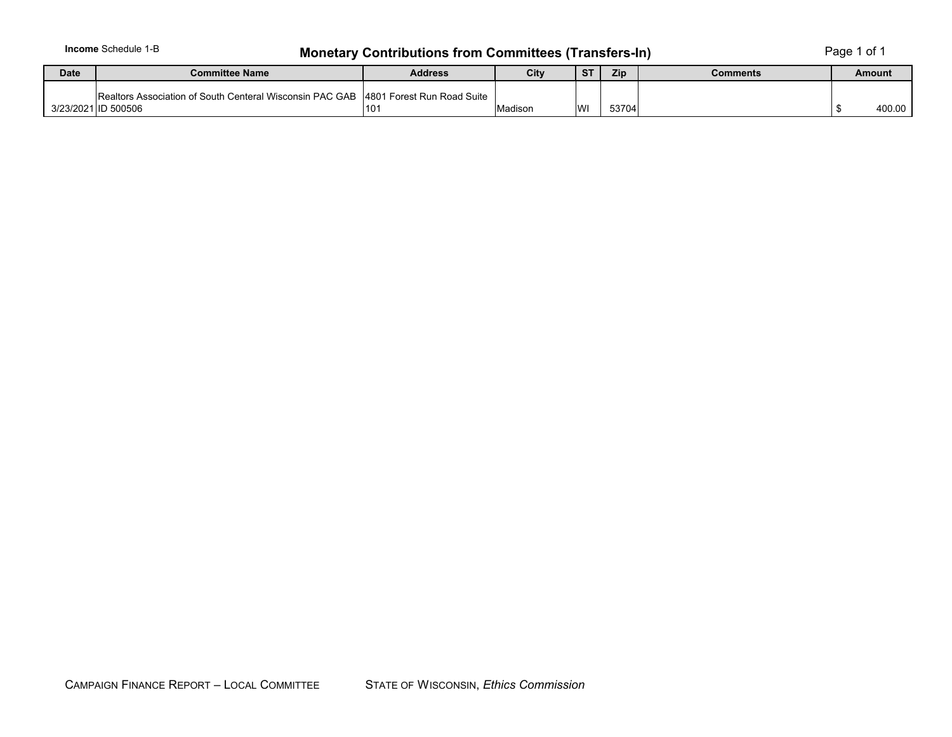# **Monetary Contributions from Committees (Transfers-In)** Page 1 of 1

| <b>Date</b> | <b>Address</b><br>Committee Name                         |                             | City    | $_{\sigma}$ | Zip   | Comments | Amount |
|-------------|----------------------------------------------------------|-----------------------------|---------|-------------|-------|----------|--------|
|             | Realtors Association of South Centeral Wisconsin PAC GAB | 14801 Forest Run Road Suite |         |             |       |          |        |
|             | 3/23/2021 ID 500506                                      | 101                         | Madison | WI          | 53704 |          | 400.00 |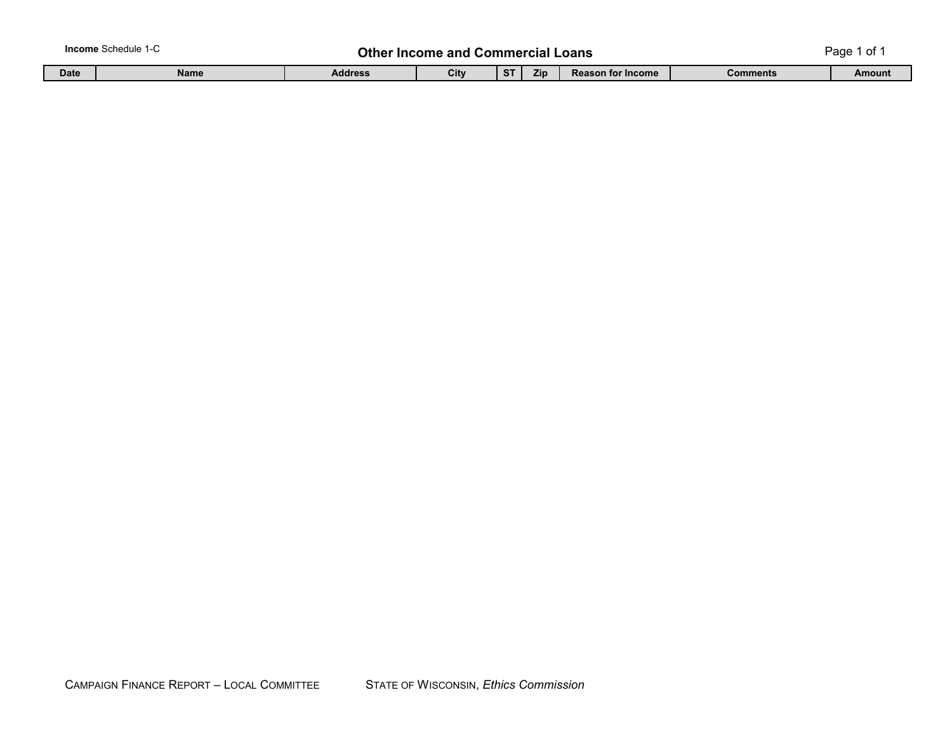| <b>Income</b> Schedule<br>Other Income and<br>.<br>Loans<br>Commercial |             |                |      |    |     |                          | 0t<br>Page |        |
|------------------------------------------------------------------------|-------------|----------------|------|----|-----|--------------------------|------------|--------|
| <b>Date</b>                                                            | <b>Name</b> | <b>Address</b> | City | ~- | Zip | <b>Reason for Income</b> | Comments   | Amount |

П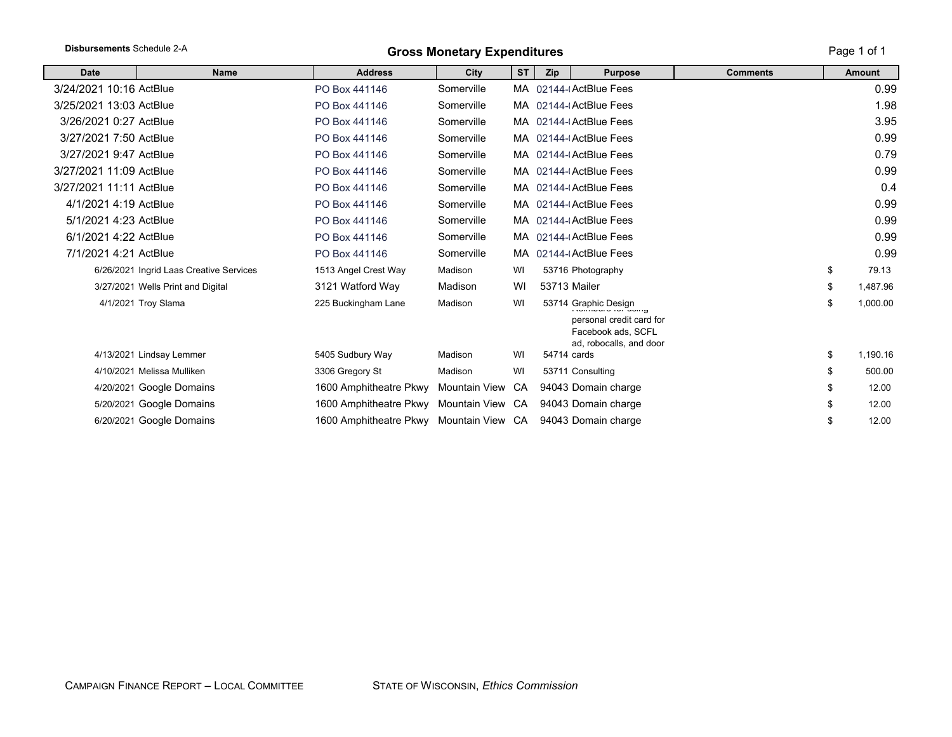| Disbursements Schedule 2-A |                                         | <b>Gross Monetary Expenditures</b>      | Page 1 of 1      |           |     |                                                                                                   |                 |    |               |
|----------------------------|-----------------------------------------|-----------------------------------------|------------------|-----------|-----|---------------------------------------------------------------------------------------------------|-----------------|----|---------------|
| <b>Date</b>                | <b>Name</b>                             | <b>Address</b>                          | City             | <b>ST</b> | Zip | <b>Purpose</b>                                                                                    | <b>Comments</b> |    | <b>Amount</b> |
| 3/24/2021 10:16 ActBlue    |                                         | PO Box 441146                           | Somerville       |           |     | MA 02144-(ActBlue Fees                                                                            |                 |    | 0.99          |
| 3/25/2021 13:03 ActBlue    |                                         | PO Box 441146                           | Somerville       |           |     | MA 02144-(ActBlue Fees                                                                            |                 |    | 1.98          |
| 3/26/2021 0:27 ActBlue     |                                         | PO Box 441146                           | Somerville       |           |     | MA 02144-(ActBlue Fees                                                                            |                 |    | 3.95          |
| 3/27/2021 7:50 ActBlue     |                                         | PO Box 441146                           | Somerville       |           |     | MA 02144-(ActBlue Fees                                                                            |                 |    | 0.99          |
| 3/27/2021 9:47 ActBlue     |                                         | PO Box 441146                           | Somerville       |           |     | MA 02144-(ActBlue Fees                                                                            |                 |    | 0.79          |
| 3/27/2021 11:09 ActBlue    |                                         | PO Box 441146                           | Somerville       |           |     | MA 02144-(ActBlue Fees                                                                            |                 |    | 0.99          |
| 3/27/2021 11:11 ActBlue    |                                         | PO Box 441146                           | Somerville       |           |     | MA 02144-(ActBlue Fees                                                                            |                 |    | 0.4           |
| 4/1/2021 4:19 ActBlue      |                                         | PO Box 441146                           | Somerville       |           |     | MA 02144-(ActBlue Fees                                                                            |                 |    | 0.99          |
| 5/1/2021 4:23 ActBlue      |                                         | PO Box 441146                           | Somerville       |           |     | MA 02144-(ActBlue Fees                                                                            |                 |    | 0.99          |
| 6/1/2021 4:22 ActBlue      |                                         | PO Box 441146                           | Somerville       |           |     | MA 02144-(ActBlue Fees                                                                            |                 |    | 0.99          |
| 7/1/2021 4:21 ActBlue      |                                         | PO Box 441146                           | Somerville       |           |     | MA 02144-(ActBlue Fees                                                                            |                 |    | 0.99          |
|                            | 6/26/2021 Ingrid Laas Creative Services | 1513 Angel Crest Way                    | Madison          | WI        |     | 53716 Photography                                                                                 |                 | \$ | 79.13         |
|                            | 3/27/2021 Wells Print and Digital       | 3121 Watford Way                        | Madison          | WI        |     | <b>53713 Mailer</b>                                                                               |                 |    | 1,487.96      |
|                            | 4/1/2021 Troy Slama                     | 225 Buckingham Lane                     | Madison          | WI        |     | 53714 Graphic Design<br>personal credit card for<br>Facebook ads, SCFL<br>ad, robocalls, and door |                 |    | 1,000.00      |
|                            | 4/13/2021 Lindsay Lemmer                | 5405 Sudbury Way                        | Madison          | WI        |     | 54714 cards                                                                                       |                 | \$ | 1,190.16      |
|                            | 4/10/2021 Melissa Mulliken              | 3306 Gregory St                         | Madison          | WI        |     | 53711 Consulting                                                                                  |                 |    | 500.00        |
|                            | 4/20/2021 Google Domains                | 1600 Amphitheatre Pkwy                  | Mountain View    | CA        |     | 94043 Domain charge                                                                               |                 |    | 12.00         |
|                            | 5/20/2021 Google Domains                | 1600 Amphitheatre Pkwy                  | Mountain View CA |           |     | 94043 Domain charge                                                                               |                 |    | 12.00         |
|                            | 6/20/2021 Google Domains                | 1600 Amphitheatre Pkwy Mountain View CA |                  |           |     | 94043 Domain charge                                                                               |                 |    | 12.00         |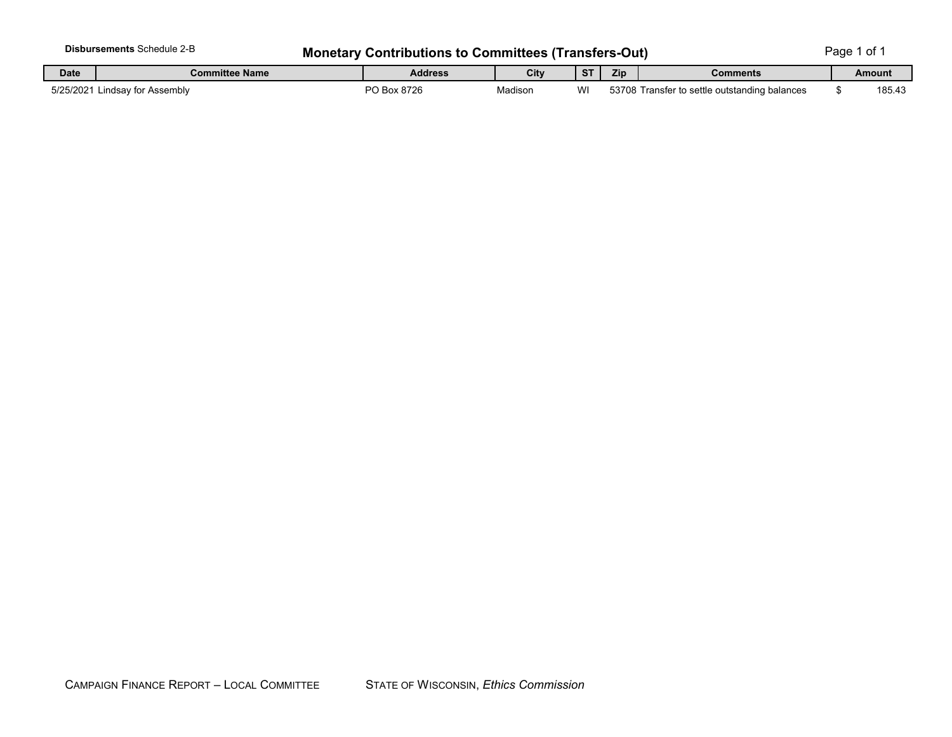|                               | <b>Disbursements Schedule 2-B</b> | <b>Monetary Contributions to Committees (Transfers-Out)</b> |         |           |     |                                               |  |        |  |
|-------------------------------|-----------------------------------|-------------------------------------------------------------|---------|-----------|-----|-----------------------------------------------|--|--------|--|
| <b>Date</b><br>Committee Name |                                   | Address                                                     | City    | <b>ST</b> | Zip | Comments                                      |  | Amount |  |
|                               | 5/25/2021 Lindsay for Assembly    | PO Box 8726                                                 | Madison | wı        |     | 53708 Transfer to settle outstanding balances |  | 185.43 |  |

 $\mathbf{I}$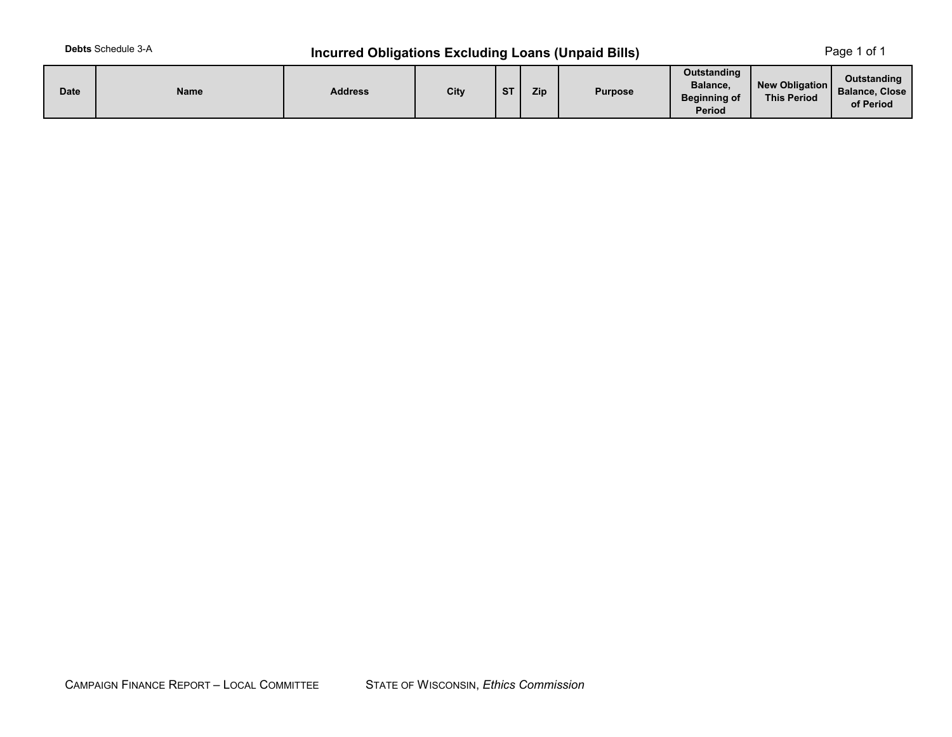# **Incurred Obligations Excluding Loans (Unpaid Bills)** Page 1 of 1

| <b>Date</b> | <b>Name</b> | <b>Address</b> | City | $C$ T | Zip | <b>Purpose</b> | <b>Outstanding</b><br>Balance.<br><b>Beginning of</b><br>Period | New Obligation<br><b>This Period</b> | Outstanding<br><b>Balance, Close</b><br>of Period |
|-------------|-------------|----------------|------|-------|-----|----------------|-----------------------------------------------------------------|--------------------------------------|---------------------------------------------------|
|-------------|-------------|----------------|------|-------|-----|----------------|-----------------------------------------------------------------|--------------------------------------|---------------------------------------------------|